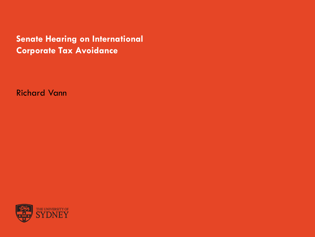**Senate Hearing on International Corporate Tax Avoidance**

Richard Vann

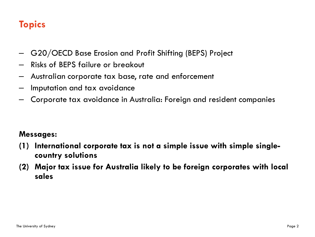## **Topics**

- G20/OECD Base Erosion and Profit Shifting (BEPS) Project
- Risks of BEPS failure or breakout
- Australian corporate tax base, rate and enforcement
- Imputation and tax avoidance
- Corporate tax avoidance in Australia: Foreign and resident companies

#### **Messages:**

- **(1) International corporate tax is not a simple issue with simple singlecountry solutions**
- **(2) Major tax issue for Australia likely to be foreign corporates with local sales**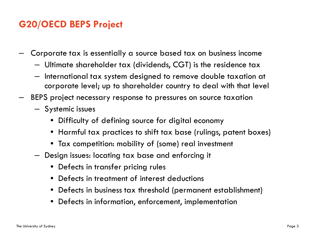## **G20/OECD BEPS Project**

- Corporate tax is essentially a source based tax on business income
	- Ultimate shareholder tax (dividends, CGT) is the residence tax
	- International tax system designed to remove double taxation at corporate level; up to shareholder country to deal with that level
- BEPS project necessary response to pressures on source taxation
	- Systemic issues
		- Difficulty of defining source for digital economy
		- Harmful tax practices to shift tax base (rulings, patent boxes)
		- Tax competition: mobility of (some) real investment
	- Design issues: locating tax base and enforcing it
		- Defects in transfer pricing rules
		- Defects in treatment of interest deductions
		- Defects in business tax threshold (permanent establishment)
		- Defects in information, enforcement, implementation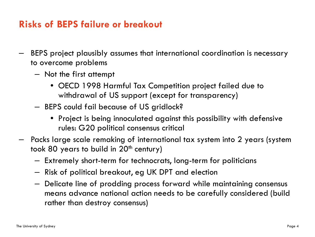#### **Risks of BEPS failure or breakout**

- BEPS project plausibly assumes that international coordination is necessary to overcome problems
	- Not the first attempt
		- OECD 1998 Harmful Tax Competition project failed due to withdrawal of US support (except for transparency)
	- BEPS could fail because of US gridlock?
		- Project is being innoculated against this possibility with defensive rules: G20 political consensus critical
- Packs large scale remaking of international tax system into 2 years (system took 80 years to build in  $20<sup>th</sup>$  century)
	- Extremely short-term for technocrats, long-term for politicians
	- Risk of political breakout, eg UK DPT and election
	- Delicate line of prodding process forward while maintaining consensus means advance national action needs to be carefully considered (build rather than destroy consensus)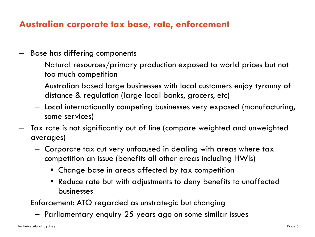### **Australian corporate tax base, rate, enforcement**

- Base has differing components
	- Natural resources/primary production exposed to world prices but not too much competition
	- Australian based large businesses with local customers enjoy tyranny of distance & regulation (large local banks, grocers, etc)
	- Local internationally competing businesses very exposed (manufacturing, some services)
- Tax rate is not significantly out of line (compare weighted and unweighted averages)
	- Corporate tax cut very unfocused in dealing with areas where tax competition an issue (benefits all other areas including HWIs)
		- Change base in areas affected by tax competition
		- Reduce rate but with adjustments to deny benefits to unaffected businesses
- Enforcement: ATO regarded as unstrategic but changing
	- Parliamentary enquiry 25 years ago on some similar issues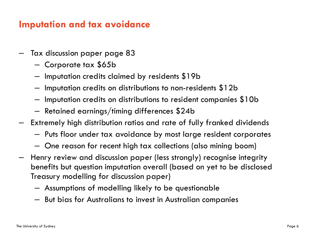#### **Imputation and tax avoidance**

- Tax discussion paper page 83
	- Corporate tax \$65b
	- Imputation credits claimed by residents \$19b
	- Imputation credits on distributions to non-residents \$12b
	- Imputation credits on distributions to resident companies \$10b
	- Retained earnings/timing differences \$24b
- Extremely high distribution ratios and rate of fully franked dividends
	- Puts floor under tax avoidance by most large resident corporates
	- One reason for recent high tax collections (also mining boom)
- Henry review and discussion paper (less strongly) recognise integrity benefits but question imputation overall (based on yet to be disclosed Treasury modelling for discussion paper)
	- Assumptions of modelling likely to be questionable
	- But bias for Australians to invest in Australian companies